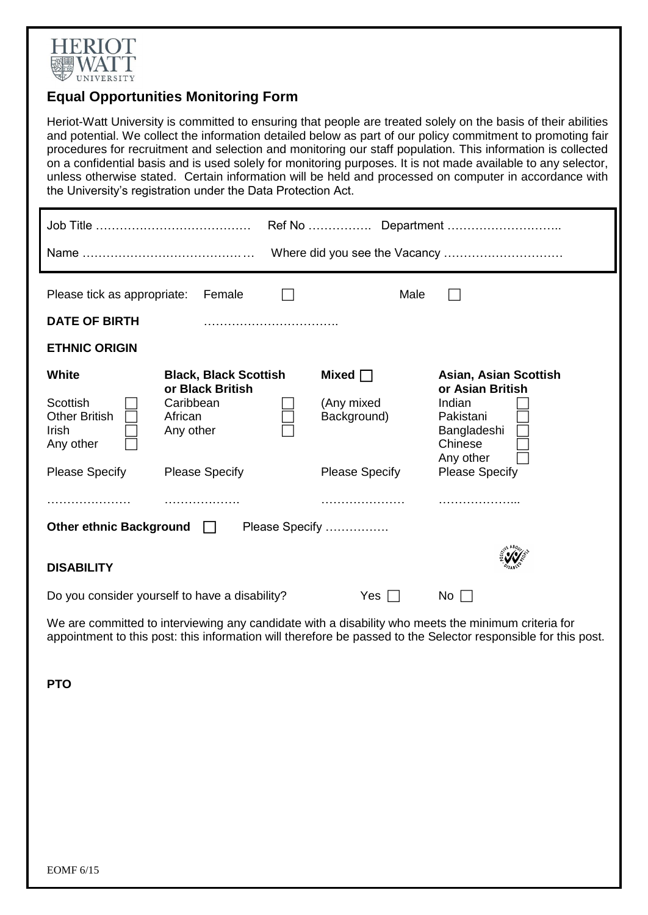

## **Equal Opportunities Monitoring Form**

Heriot-Watt University is committed to ensuring that people are treated solely on the basis of their abilities and potential. We collect the information detailed below as part of our policy commitment to promoting fair procedures for recruitment and selection and monitoring our staff population. This information is collected on a confidential basis and is used solely for monitoring purposes. It is not made available to any selector, unless otherwise stated. Certain information will be held and processed on computer in accordance with the University's registration under the Data Protection Act.

| Please tick as appropriate:                                                                     | Female                                                                                                         | Male                                                               |                                                                                                                                  |  |
|-------------------------------------------------------------------------------------------------|----------------------------------------------------------------------------------------------------------------|--------------------------------------------------------------------|----------------------------------------------------------------------------------------------------------------------------------|--|
| <b>DATE OF BIRTH</b>                                                                            |                                                                                                                |                                                                    |                                                                                                                                  |  |
| <b>ETHNIC ORIGIN</b>                                                                            |                                                                                                                |                                                                    |                                                                                                                                  |  |
| <b>White</b><br>Scottish<br><b>Other British</b><br>Irish<br>Any other<br><b>Please Specify</b> | <b>Black, Black Scottish</b><br>or Black British<br>Caribbean<br>African<br>Any other<br><b>Please Specify</b> | Mixed $\Box$<br>(Any mixed<br>Background)<br><b>Please Specify</b> | Asian, Asian Scottish<br>or Asian British<br>Indian<br>Pakistani<br>Bangladeshi<br>Chinese<br>Any other<br><b>Please Specify</b> |  |
| .<br><b>Other ethnic Background</b><br><b>DISABILITY</b>                                        | $\mathbf{L}$                                                                                                   | .<br>Please Specify                                                |                                                                                                                                  |  |
|                                                                                                 | Do you consider yourself to have a disability?                                                                 | Yes                                                                | No.                                                                                                                              |  |

We are committed to interviewing any candidate with a disability who meets the minimum criteria for appointment to this post: this information will therefore be passed to the Selector responsible for this post.

**PTO**